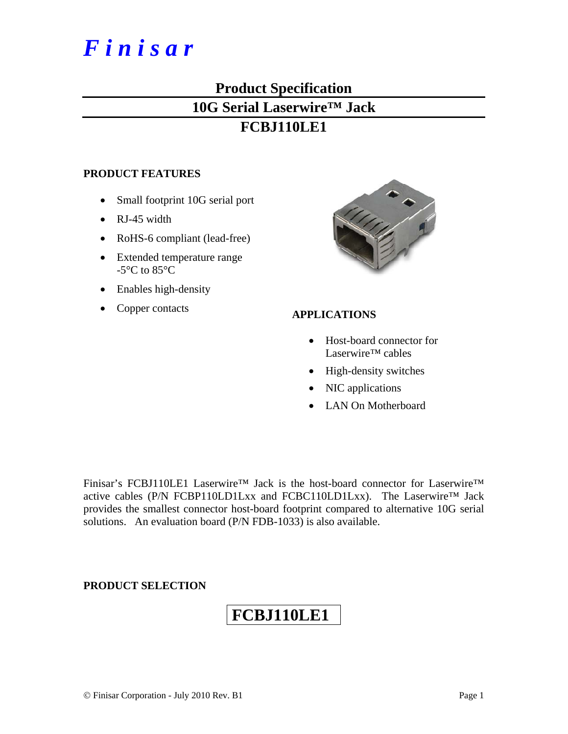# *F i n i s a r*

# **Product Specification**

### **10G Serial Laserwire™ Jack**

### **FCBJ110LE1**

#### **PRODUCT FEATURES**

- Small footprint 10G serial port
- RJ-45 width
- RoHS-6 compliant (lead-free)
- Extended temperature range -5°C to 85°C
- Enables high-density
- Copper contacts **APPLICATIONS**



- Host-board connector for Laserwire™ cables
- High-density switches
- NIC applications
- LAN On Motherboard

Finisar's FCBJ110LE1 Laserwire™ Jack is the host-board connector for Laserwire™ active cables (P/N FCBP110LD1Lxx and FCBC110LD1Lxx). The Laserwire™ Jack provides the smallest connector host-board footprint compared to alternative 10G serial solutions. An evaluation board (P/N FDB-1033) is also available.

#### **PRODUCT SELECTION**

## **FCBJ110LE1**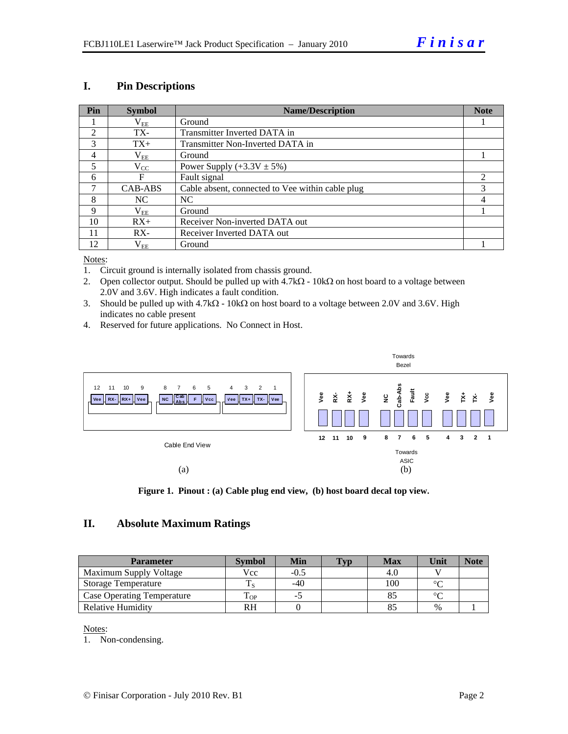#### **I. Pin Descriptions**

| Pin            | <b>Symbol</b> | <b>Name/Description</b>                          | <b>Note</b> |
|----------------|---------------|--------------------------------------------------|-------------|
|                | $\rm V_{EE}$  | Ground                                           |             |
| $\mathfrak{D}$ | TX-           | Transmitter Inverted DATA in                     |             |
| 3              | $TX+$         | Transmitter Non-Inverted DATA in                 |             |
| $\overline{4}$ | $\rm V_{EE}$  | Ground                                           |             |
| 5              | $\rm V_{CC}$  | Power Supply $(+3.3V \pm 5\%)$                   |             |
| 6              | F             | Fault signal                                     |             |
| 7              | CAB-ABS       | Cable absent, connected to Vee within cable plug |             |
| 8              | NC.           | NC.                                              |             |
| 9              | $\rm V_{EE}$  | Ground                                           |             |
| 10             | $RX+$         | Receiver Non-inverted DATA out                   |             |
| 11             | $RX -$        | Receiver Inverted DATA out                       |             |
| 12             | $\rm V_{EE}$  | Ground                                           |             |

#### Notes:

- 1. Circuit ground is internally isolated from chassis ground.
- 2. Open collector output. Should be pulled up with  $4.7kΩ 10kΩ$  on host board to a voltage between 2.0V and 3.6V. High indicates a fault condition.
- 3. Should be pulled up with  $4.7k\Omega$  10k $\Omega$  on host board to a voltage between 2.0V and 3.6V. High indicates no cable present
- 4. Reserved for future applications. No Connect in Host.



**Figure 1. Pinout : (a) Cable plug end view, (b) host board decal top view.** 

#### **II. Absolute Maximum Ratings**

| <b>Parameter</b>                  | <b>Symbol</b> | Min    | <b>Typ</b> | <b>Max</b> | Unit   | <b>Note</b> |
|-----------------------------------|---------------|--------|------------|------------|--------|-------------|
| Maximum Supply Voltage            | Vcc           | $-0.5$ |            |            |        |             |
| Storage Temperature               |               | $-40$  |            | 100        | $\sim$ |             |
| <b>Case Operating Temperature</b> | OP            |        |            |            | $\sim$ |             |
| Relative Humidity                 | RН            |        |            |            | $\%$   |             |

Notes:

1. Non-condensing.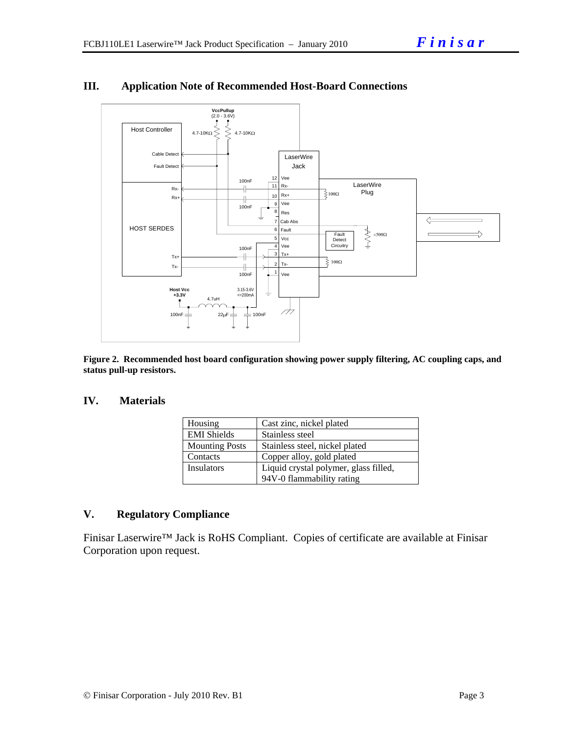

### **III. Application Note of Recommended Host-Board Connections**

**Figure 2. Recommended host board configuration showing power supply filtering, AC coupling caps, and status pull-up resistors.** 

#### **IV. Materials**

| Housing               | Cast zinc, nickel plated              |  |  |  |
|-----------------------|---------------------------------------|--|--|--|
| <b>EMI</b> Shields    | Stainless steel                       |  |  |  |
| <b>Mounting Posts</b> | Stainless steel, nickel plated        |  |  |  |
| Contacts              | Copper alloy, gold plated             |  |  |  |
| <b>Insulators</b>     | Liquid crystal polymer, glass filled, |  |  |  |
|                       | 94V-0 flammability rating             |  |  |  |

#### **V. Regulatory Compliance**

Finisar Laserwire™ Jack is RoHS Compliant. Copies of certificate are available at Finisar Corporation upon request.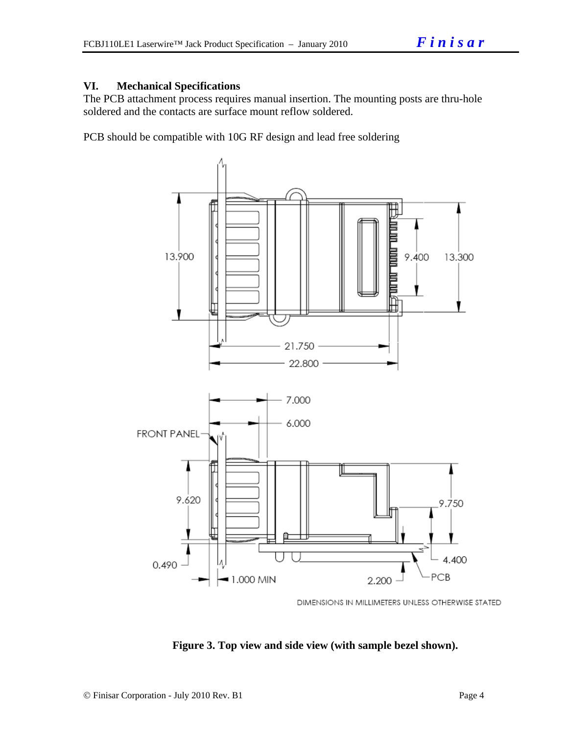#### **VI. Mechanical Specifications**

The PCB attachment process requires manual insertion. The mounting posts are thru-hole soldered and the contacts are surface mount reflow soldered.

PCB should be compatible with 10G RF design and lead free soldering



DIMENSIONS IN MILLIMETERS UNLESS OTHERWISE STATED

**Figure 3. Top view and side view (with sample bezel shown).**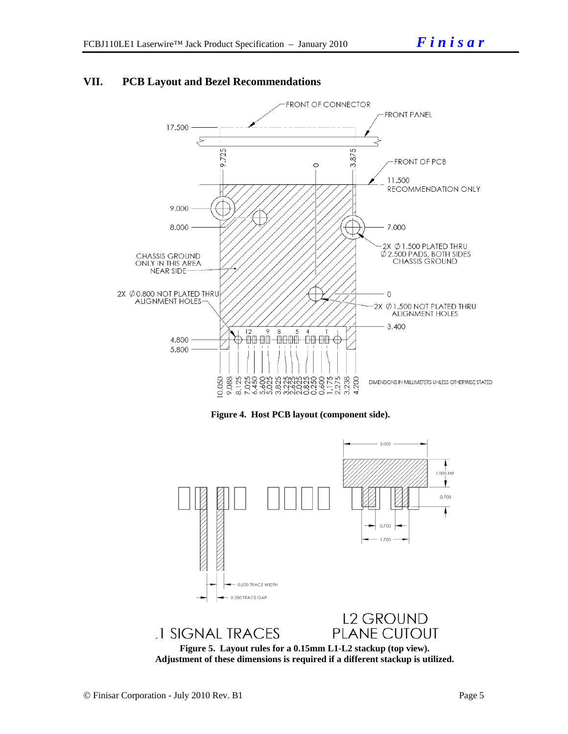![](_page_4_Figure_2.jpeg)

#### **VII. PCB Layout and Bezel Recommendations**

![](_page_4_Figure_4.jpeg)

![](_page_4_Figure_5.jpeg)

**Adjustment of these dimensions is required if a different stackup is utilized.**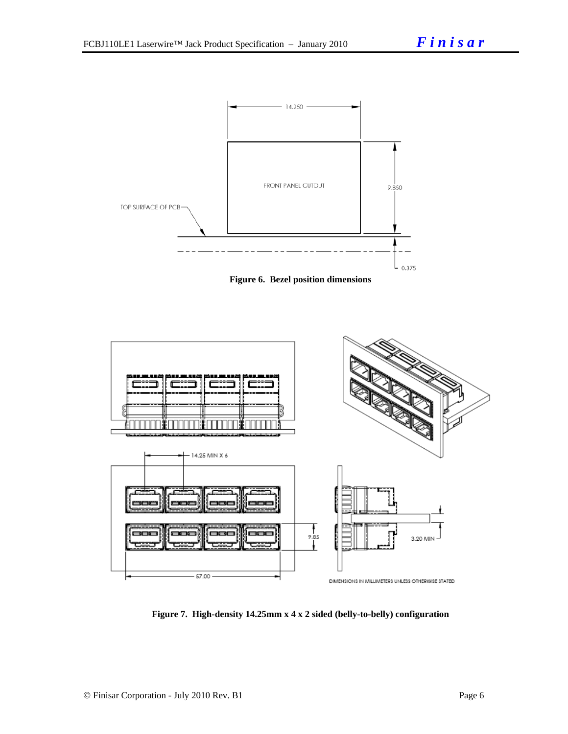![](_page_5_Figure_2.jpeg)

![](_page_5_Figure_3.jpeg)

**Figure 7. High-density 14.25mm x 4 x 2 sided (belly-to-belly) configuration**